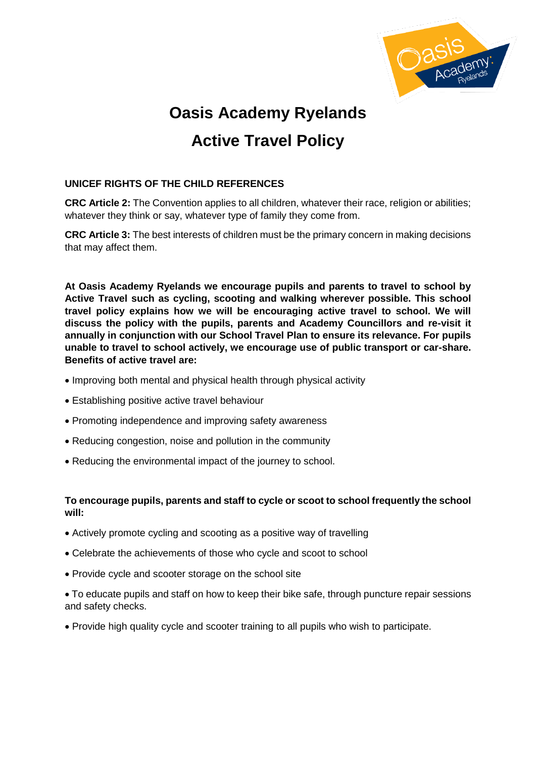

# **Oasis Academy Ryelands Active Travel Policy**

## **UNICEF RIGHTS OF THE CHILD REFERENCES**

**CRC Article 2:** The Convention applies to all children, whatever their race, religion or abilities; whatever they think or say, whatever type of family they come from.

**CRC Article 3:** The best interests of children must be the primary concern in making decisions that may affect them.

**At Oasis Academy Ryelands we encourage pupils and parents to travel to school by Active Travel such as cycling, scooting and walking wherever possible. This school travel policy explains how we will be encouraging active travel to school. We will discuss the policy with the pupils, parents and Academy Councillors and re-visit it annually in conjunction with our School Travel Plan to ensure its relevance. For pupils unable to travel to school actively, we encourage use of public transport or car-share. Benefits of active travel are:** 

- Improving both mental and physical health through physical activity
- Establishing positive active travel behaviour
- Promoting independence and improving safety awareness
- Reducing congestion, noise and pollution in the community
- Reducing the environmental impact of the journey to school.

### **To encourage pupils, parents and staff to cycle or scoot to school frequently the school will:**

- Actively promote cycling and scooting as a positive way of travelling
- Celebrate the achievements of those who cycle and scoot to school
- Provide cycle and scooter storage on the school site
- To educate pupils and staff on how to keep their bike safe, through puncture repair sessions and safety checks.
- Provide high quality cycle and scooter training to all pupils who wish to participate.